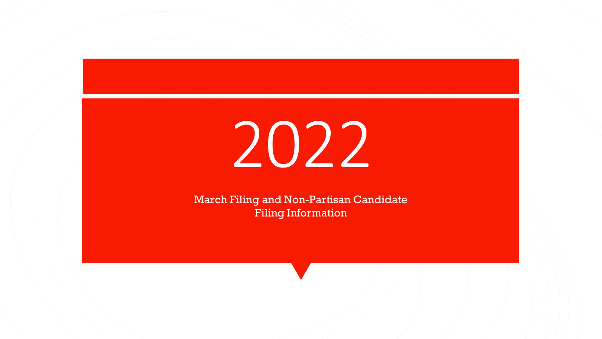# 2022

March Filing and Non-Partisan Candidate Filing Information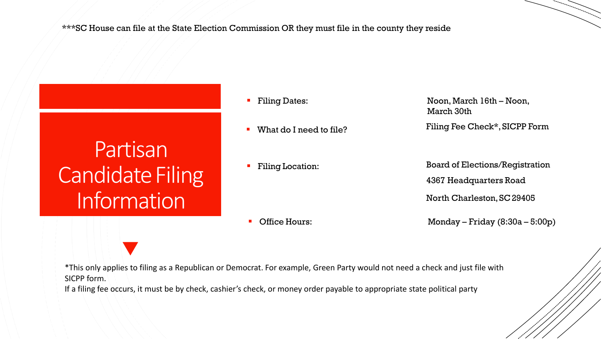\*\*\*SC House can file at the State Election Commission OR they must file in the county they reside

Partisan **Candidate Filing** Information

- Filing Dates:
- 

Filing Location:

Noon, March 16th – Noon, March 30th What do I need to file? Filing Fee Check\*, SICPP Form

> Board of Elections/Registration 4367 Headquarters Road North Charleston, SC29405

**Coffice Hours:** 

Monday – Friday (8:30a – 5:00p)

\*This only applies to filing as a Republican or Democrat. For example, Green Party would not need a check and just file with SICPP form.

If a filing fee occurs, it must be by check, cashier's check, or money order payable to appropriate state political party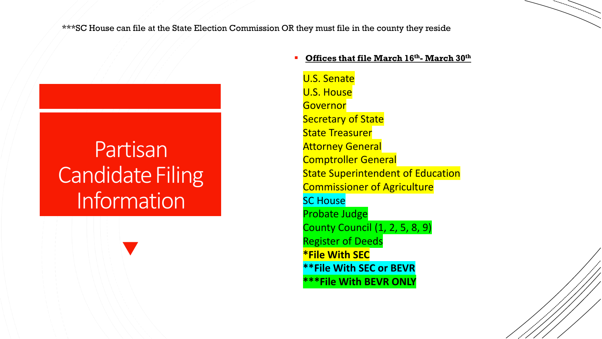\*\*\*SC House can file at the State Election Commission OR they must file in the county they reside

### Partisan **Candidate Filing** Information

#### **Offices that file March 16th- March 30th**

U.S. Senate U.S. House **Governor** Secretary of State State Treasurer **Attorney General** Comptroller General **State Superintendent of Education** Commissioner of Agriculture SC House Probate Judge County Council (1, 2, 5, 8, 9) Register of Deeds **\*File With SEC \*\*File With SEC or BEVR \*\*\*File With BEVR ONLY**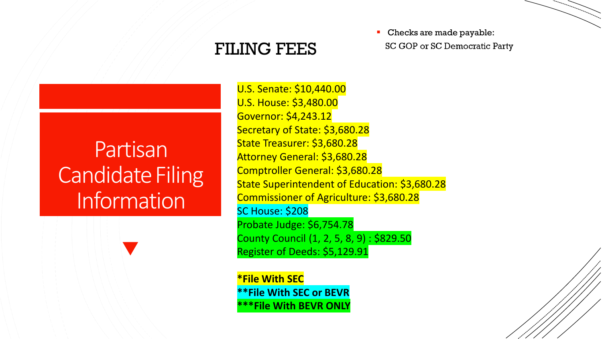#### FILING FEES

• Checks are made payable: SC GOP or SC Democratic Party

### Partisan **Candidate Filing** Information

U.S. Senate: \$10,440.00 U.S. House: \$3,480.00 Governor: \$4,243.12 Secretary of State: \$3,680.28 State Treasurer: \$3,680.28 Attorney General: \$3,680.28 Comptroller General: \$3,680.28 State Superintendent of Education: \$3,680.28 Commissioner of Agriculture: \$3,680.28 SC House: \$208 Probate Judge: \$6,754.78 County Council (1, 2, 5, 8, 9) : \$829.50 Register of Deeds: \$5,129.91

**\*File With SEC \*\*File With SEC or BEVR \*\*\*File With BEVR ONLY**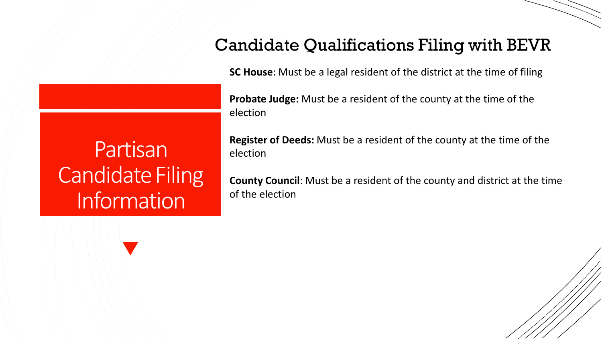#### Candidate Qualifications Filing with BEVR

**SC House**: Must be a legal resident of the district at the time of filing

**Probate Judge:** Must be a resident of the county at the time of the election

Partisan **Candidate Filing** Information

**Register of Deeds:** Must be a resident of the county at the time of the election

**County Council**: Must be a resident of the county and district at the time of the election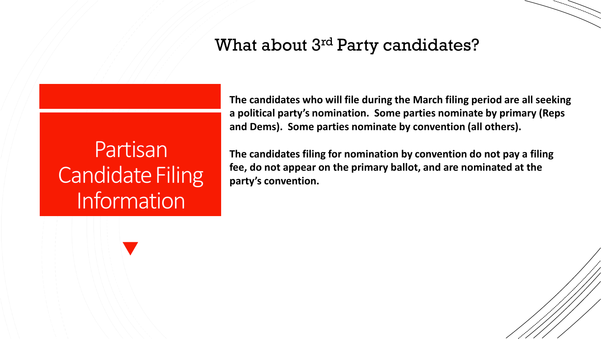#### What about 3rd Party candidates?

Partisan **Candidate Filing** Information

**The candidates who will file during the March filing period are all seeking a political party's nomination. Some parties nominate by primary (Reps and Dems). Some parties nominate by convention (all others).** 

**The candidates filing for nomination by convention do not pay a filing fee, do not appear on the primary ballot, and are nominated at the party's convention.**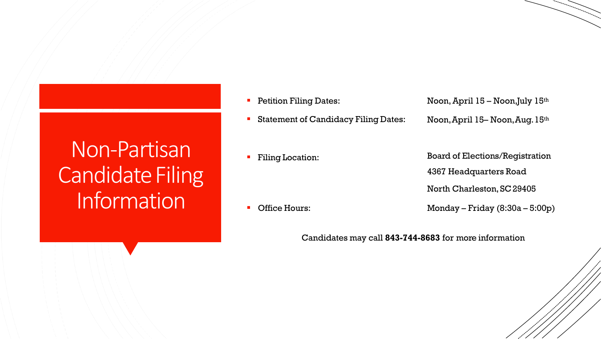### Non-Partisan **Candidate Filing** Information

- Petition Filing Dates:
- Statement of Candidacy Filing Dates:
- Noon, April 15 Noon,July 15th Noon,April 15– Noon,Aug.15th

Filing Location:

Board of Elections/Registration 4367 Headquarters Road

North Charleston, SC29405

Office Hours:

Monday – Friday (8:30a – 5:00p)

Candidates may call **843-744-8683** for more information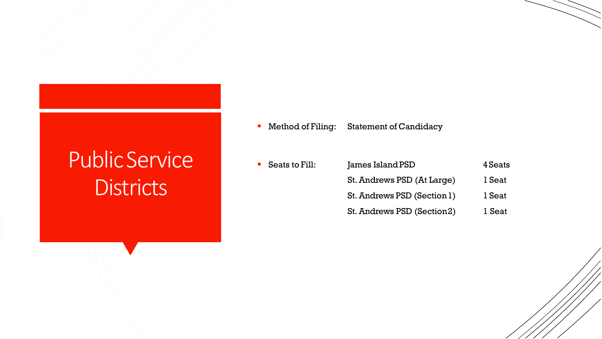# PublicService **Districts**

Method of Filing: Statement of Candidacy

| Seats to Fill: | James Island PSD            | 4 Seats |
|----------------|-----------------------------|---------|
|                | St. Andrews PSD (At Large)  | 1 Seat  |
|                | St. Andrews PSD (Section 1) | 1 Seat  |
|                | St. Andrews PSD (Section2)  | 1 Seat  |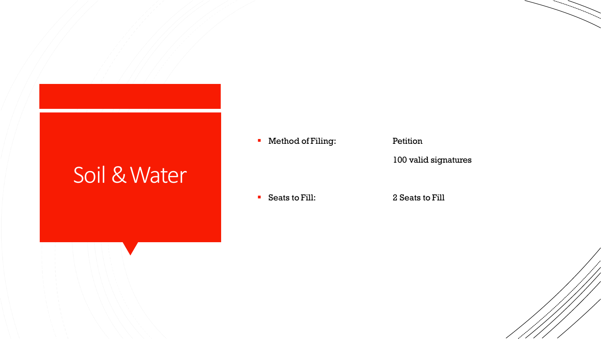#### Soil & Water

**Nethod of Filing:** Petition

100 valid signatures

Seats to Fill: 2 Seats to Fill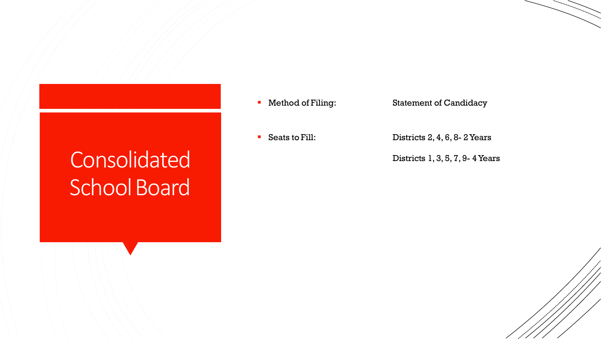## Consolidated School Board

- -

**• Method of Filing:** Statement of Candidacy

■ Seats to Fill: Districts 2, 4, 6, 8- 2 Years

Districts 1, 3, 5, 7, 9- 4 Years